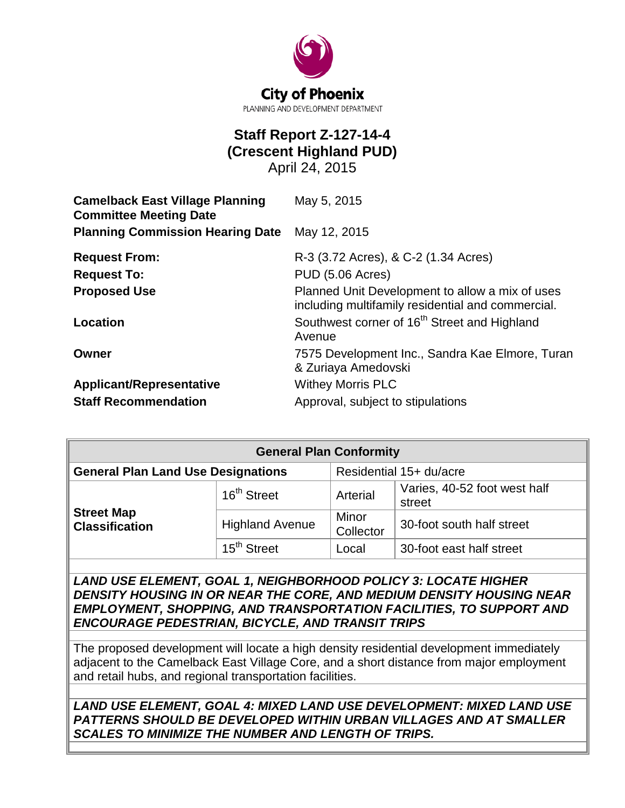

# **Staff Report Z-127-14-4 (Crescent Highland PUD)**

April 24, 2015

| <b>Camelback East Village Planning</b><br><b>Committee Meeting Date</b> | May 5, 2015                                                                                          |  |  |
|-------------------------------------------------------------------------|------------------------------------------------------------------------------------------------------|--|--|
| <b>Planning Commission Hearing Date</b>                                 | May 12, 2015                                                                                         |  |  |
| <b>Request From:</b>                                                    | R-3 (3.72 Acres), & C-2 (1.34 Acres)                                                                 |  |  |
| <b>Request To:</b>                                                      | <b>PUD (5.06 Acres)</b>                                                                              |  |  |
| <b>Proposed Use</b>                                                     | Planned Unit Development to allow a mix of uses<br>including multifamily residential and commercial. |  |  |
| Location                                                                | Southwest corner of 16 <sup>th</sup> Street and Highland<br>Avenue                                   |  |  |
| Owner                                                                   | 7575 Development Inc., Sandra Kae Elmore, Turan<br>& Zuriaya Amedovski                               |  |  |
| <b>Applicant/Representative</b>                                         | <b>Withey Morris PLC</b>                                                                             |  |  |
| <b>Staff Recommendation</b>                                             | Approval, subject to stipulations                                                                    |  |  |

| <b>General Plan Conformity</b>             |                         |                         |                                        |  |
|--------------------------------------------|-------------------------|-------------------------|----------------------------------------|--|
| <b>General Plan Land Use Designations</b>  |                         | Residential 15+ du/acre |                                        |  |
| <b>Street Map</b><br><b>Classification</b> | 16 <sup>th</sup> Street | Arterial                | Varies, 40-52 foot west half<br>street |  |
|                                            | <b>Highland Avenue</b>  | Minor<br>Collector      | 30-foot south half street              |  |
|                                            | 15 <sup>th</sup> Street | Local                   | 30-foot east half street               |  |

*LAND USE ELEMENT, GOAL 1, NEIGHBORHOOD POLICY 3: LOCATE HIGHER DENSITY HOUSING IN OR NEAR THE CORE, AND MEDIUM DENSITY HOUSING NEAR EMPLOYMENT, SHOPPING, AND TRANSPORTATION FACILITIES, TO SUPPORT AND ENCOURAGE PEDESTRIAN, BICYCLE, AND TRANSIT TRIPS*

The proposed development will locate a high density residential development immediately adjacent to the Camelback East Village Core, and a short distance from major employment and retail hubs, and regional transportation facilities.

*LAND USE ELEMENT, GOAL 4: MIXED LAND USE DEVELOPMENT: MIXED LAND USE PATTERNS SHOULD BE DEVELOPED WITHIN URBAN VILLAGES AND AT SMALLER SCALES TO MINIMIZE THE NUMBER AND LENGTH OF TRIPS.*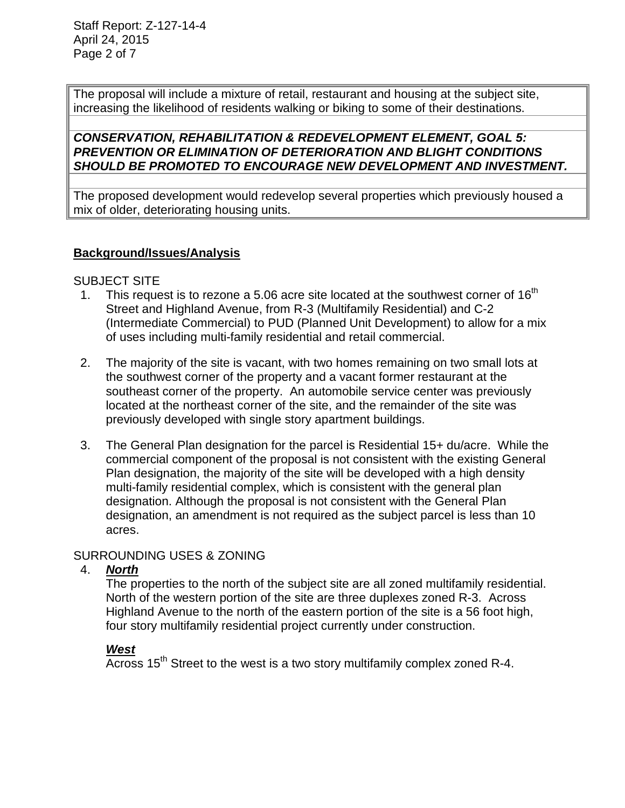The proposal will include a mixture of retail, restaurant and housing at the subject site, increasing the likelihood of residents walking or biking to some of their destinations.

# *CONSERVATION, REHABILITATION & REDEVELOPMENT ELEMENT, GOAL 5: PREVENTION OR ELIMINATION OF DETERIORATION AND BLIGHT CONDITIONS SHOULD BE PROMOTED TO ENCOURAGE NEW DEVELOPMENT AND INVESTMENT.*

The proposed development would redevelop several properties which previously housed a mix of older, deteriorating housing units.

# **Background/Issues/Analysis**

#### SUBJECT SITE

- 1. This request is to rezone a 5.06 acre site located at the southwest corner of  $16<sup>th</sup>$ Street and Highland Avenue, from R-3 (Multifamily Residential) and C-2 (Intermediate Commercial) to PUD (Planned Unit Development) to allow for a mix of uses including multi-family residential and retail commercial.
- 2. The majority of the site is vacant, with two homes remaining on two small lots at the southwest corner of the property and a vacant former restaurant at the southeast corner of the property. An automobile service center was previously located at the northeast corner of the site, and the remainder of the site was previously developed with single story apartment buildings.
- 3. The General Plan designation for the parcel is Residential 15+ du/acre. While the commercial component of the proposal is not consistent with the existing General Plan designation, the majority of the site will be developed with a high density multi-family residential complex, which is consistent with the general plan designation. Although the proposal is not consistent with the General Plan designation, an amendment is not required as the subject parcel is less than 10 acres.

# SURROUNDING USES & ZONING

# 4. *North*

The properties to the north of the subject site are all zoned multifamily residential. North of the western portion of the site are three duplexes zoned R-3. Across Highland Avenue to the north of the eastern portion of the site is a 56 foot high, four story multifamily residential project currently under construction.

# *West*

 $\overline{A\text{cross}}$  15<sup>th</sup> Street to the west is a two story multifamily complex zoned R-4.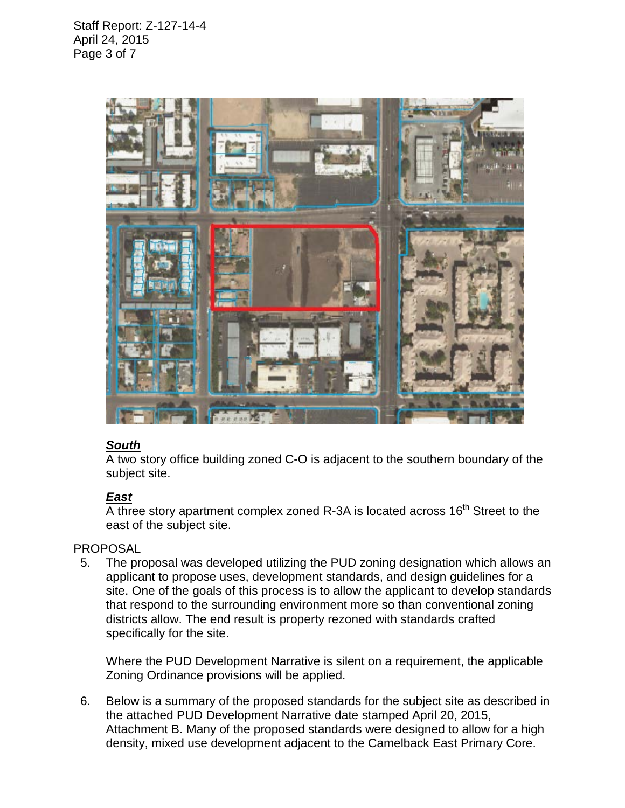

# *South*

A two story office building zoned C-O is adjacent to the southern boundary of the subject site.

# *East*

 $\overline{A}$  three story apartment complex zoned R-3A is located across 16<sup>th</sup> Street to the east of the subject site.

# PROPOSAL

 5. The proposal was developed utilizing the PUD zoning designation which allows an applicant to propose uses, development standards, and design guidelines for a site. One of the goals of this process is to allow the applicant to develop standards that respond to the surrounding environment more so than conventional zoning districts allow. The end result is property rezoned with standards crafted specifically for the site.

Where the PUD Development Narrative is silent on a requirement, the applicable Zoning Ordinance provisions will be applied.

 6. Below is a summary of the proposed standards for the subject site as described in the attached PUD Development Narrative date stamped April 20, 2015, Attachment B. Many of the proposed standards were designed to allow for a high density, mixed use development adjacent to the Camelback East Primary Core.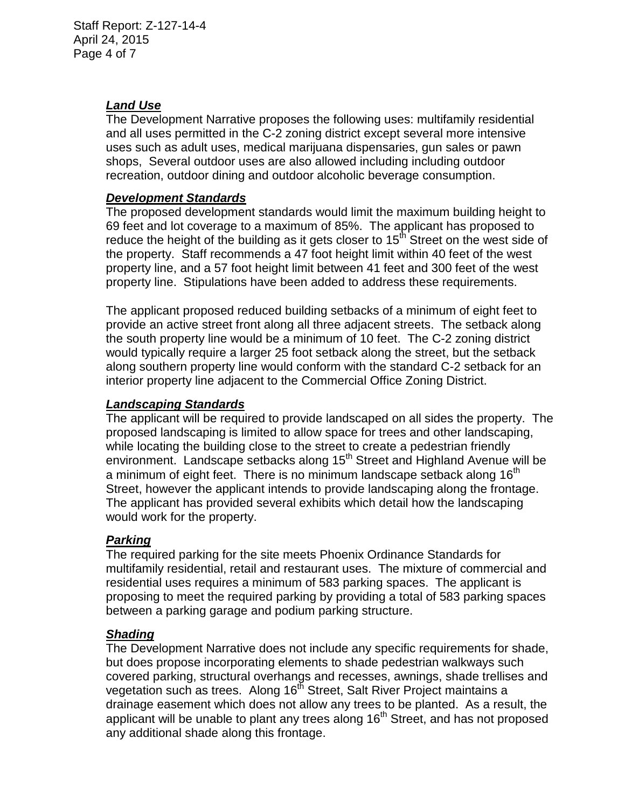# *Land Use*

The Development Narrative proposes the following uses: multifamily residential and all uses permitted in the C-2 zoning district except several more intensive uses such as adult uses, medical marijuana dispensaries, gun sales or pawn shops, Several outdoor uses are also allowed including including outdoor recreation, outdoor dining and outdoor alcoholic beverage consumption.

#### *Development Standards*

The proposed development standards would limit the maximum building height to 69 feet and lot coverage to a maximum of 85%. The applicant has proposed to reduce the height of the building as it gets closer to  $15<sup>th</sup>$  Street on the west side of the property. Staff recommends a 47 foot height limit within 40 feet of the west property line, and a 57 foot height limit between 41 feet and 300 feet of the west property line. Stipulations have been added to address these requirements.

The applicant proposed reduced building setbacks of a minimum of eight feet to provide an active street front along all three adjacent streets. The setback along the south property line would be a minimum of 10 feet. The C-2 zoning district would typically require a larger 25 foot setback along the street, but the setback along southern property line would conform with the standard C-2 setback for an interior property line adjacent to the Commercial Office Zoning District.

#### *Landscaping Standards*

The applicant will be required to provide landscaped on all sides the property. The proposed landscaping is limited to allow space for trees and other landscaping, while locating the building close to the street to create a pedestrian friendly environment. Landscape setbacks along 15<sup>th</sup> Street and Highland Avenue will be a minimum of eight feet. There is no minimum landscape setback along 16 $^{\text{tn}}$ Street, however the applicant intends to provide landscaping along the frontage. The applicant has provided several exhibits which detail how the landscaping would work for the property.

#### *Parking*

The required parking for the site meets Phoenix Ordinance Standards for multifamily residential, retail and restaurant uses. The mixture of commercial and residential uses requires a minimum of 583 parking spaces. The applicant is proposing to meet the required parking by providing a total of 583 parking spaces between a parking garage and podium parking structure.

#### *Shading*

The Development Narrative does not include any specific requirements for shade, but does propose incorporating elements to shade pedestrian walkways such covered parking, structural overhangs and recesses, awnings, shade trellises and vegetation such as trees. Along 16<sup>th</sup> Street, Salt River Project maintains a drainage easement which does not allow any trees to be planted. As a result, the applicant will be unable to plant any trees along  $16<sup>th</sup>$  Street, and has not proposed any additional shade along this frontage.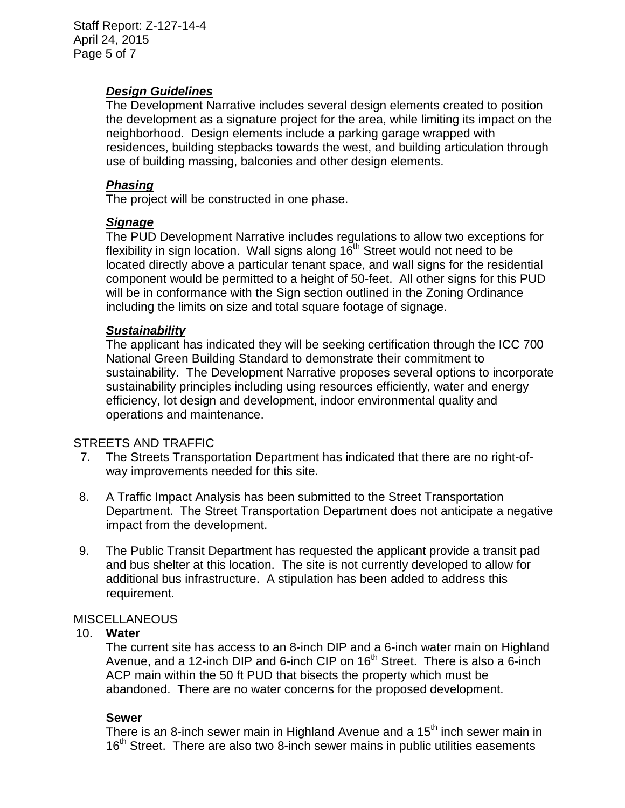Staff Report: Z-127-14-4 April 24, 2015 Page 5 of 7

#### *Design Guidelines*

The Development Narrative includes several design elements created to position the development as a signature project for the area, while limiting its impact on the neighborhood. Design elements include a parking garage wrapped with residences, building stepbacks towards the west, and building articulation through use of building massing, balconies and other design elements.

# *Phasing*

The project will be constructed in one phase.

#### *Signage*

The PUD Development Narrative includes regulations to allow two exceptions for flexibility in sign location. Wall signs along  $16<sup>th</sup>$  Street would not need to be located directly above a particular tenant space, and wall signs for the residential component would be permitted to a height of 50-feet. All other signs for this PUD will be in conformance with the Sign section outlined in the Zoning Ordinance including the limits on size and total square footage of signage.

#### *Sustainability*

The applicant has indicated they will be seeking certification through the ICC 700 National Green Building Standard to demonstrate their commitment to sustainability. The Development Narrative proposes several options to incorporate sustainability principles including using resources efficiently, water and energy efficiency, lot design and development, indoor environmental quality and operations and maintenance.

#### STREETS AND TRAFFIC

- 7. The Streets Transportation Department has indicated that there are no right-ofway improvements needed for this site.
- 8. A Traffic Impact Analysis has been submitted to the Street Transportation Department. The Street Transportation Department does not anticipate a negative impact from the development.
- 9. The Public Transit Department has requested the applicant provide a transit pad and bus shelter at this location. The site is not currently developed to allow for additional bus infrastructure. A stipulation has been added to address this requirement.

#### MISCELLANEOUS

#### 10. **Water**

The current site has access to an 8-inch DIP and a 6-inch water main on Highland Avenue, and a 12-inch DIP and 6-inch CIP on  $16<sup>th</sup>$  Street. There is also a 6-inch ACP main within the 50 ft PUD that bisects the property which must be abandoned. There are no water concerns for the proposed development.

#### **Sewer**

There is an 8-inch sewer main in Highland Avenue and a 15<sup>th</sup> inch sewer main in 16<sup>th</sup> Street. There are also two 8-inch sewer mains in public utilities easements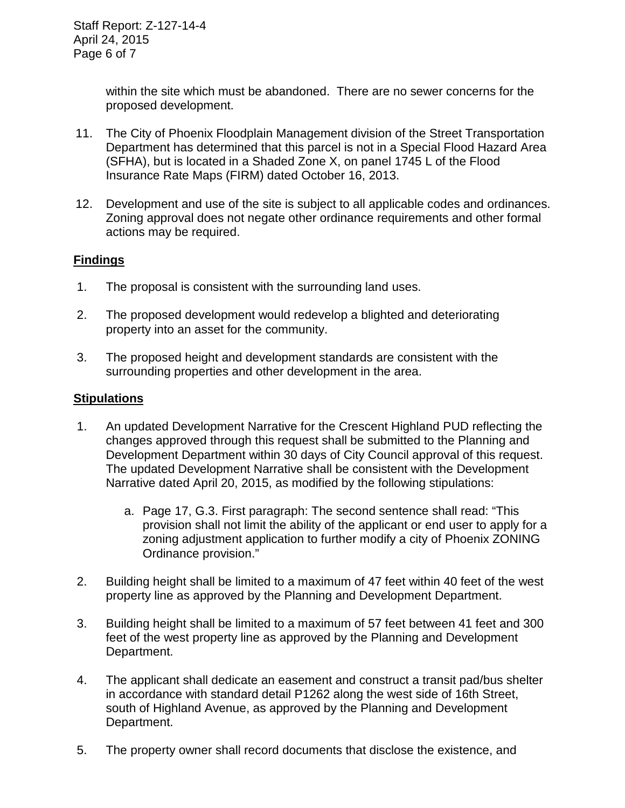within the site which must be abandoned. There are no sewer concerns for the proposed development.

- 11. The City of Phoenix Floodplain Management division of the Street Transportation Department has determined that this parcel is not in a Special Flood Hazard Area (SFHA), but is located in a Shaded Zone X, on panel 1745 L of the Flood Insurance Rate Maps (FIRM) dated October 16, 2013.
- 12. Development and use of the site is subject to all applicable codes and ordinances. Zoning approval does not negate other ordinance requirements and other formal actions may be required.

# **Findings**

- 1. The proposal is consistent with the surrounding land uses.
- 2. The proposed development would redevelop a blighted and deteriorating property into an asset for the community.
- 3. The proposed height and development standards are consistent with the surrounding properties and other development in the area.

#### **Stipulations**

- 1. An updated Development Narrative for the Crescent Highland PUD reflecting the changes approved through this request shall be submitted to the Planning and Development Department within 30 days of City Council approval of this request. The updated Development Narrative shall be consistent with the Development Narrative dated April 20, 2015, as modified by the following stipulations:
	- a. Page 17, G.3. First paragraph: The second sentence shall read: "This provision shall not limit the ability of the applicant or end user to apply for a zoning adjustment application to further modify a city of Phoenix ZONING Ordinance provision."
- 2. Building height shall be limited to a maximum of 47 feet within 40 feet of the west property line as approved by the Planning and Development Department.
- 3. Building height shall be limited to a maximum of 57 feet between 41 feet and 300 feet of the west property line as approved by the Planning and Development Department.
- 4. The applicant shall dedicate an easement and construct a transit pad/bus shelter in accordance with standard detail P1262 along the west side of 16th Street, south of Highland Avenue, as approved by the Planning and Development Department.
- 5. The property owner shall record documents that disclose the existence, and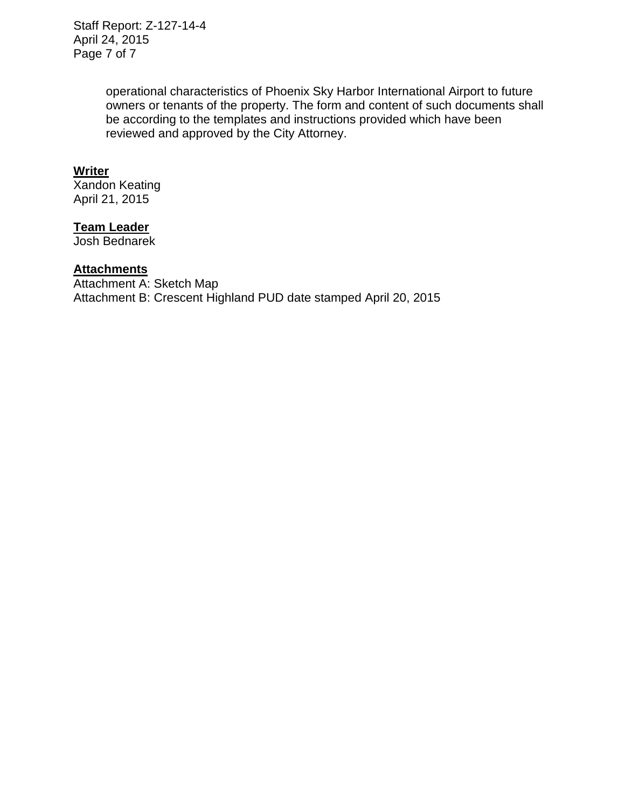Staff Report: Z-127-14-4 April 24, 2015 Page 7 of 7

> operational characteristics of Phoenix Sky Harbor International Airport to future owners or tenants of the property. The form and content of such documents shall be according to the templates and instructions provided which have been reviewed and approved by the City Attorney.

#### **Writer**

Xandon Keating April 21, 2015

# **Team Leader**

Josh Bednarek

#### **Attachments**

Attachment A: Sketch Map Attachment B: Crescent Highland PUD date stamped April 20, 2015